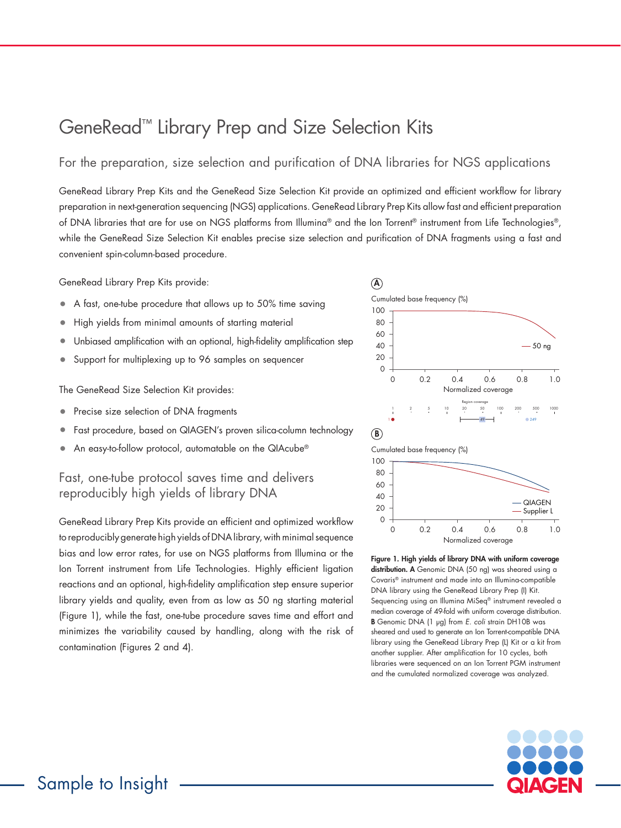## GeneRead™ Library Prep and Size Selection Kits

For the preparation, size selection and purification of DNA libraries for NGS applications

GeneRead Library Prep Kits and the GeneRead Size Selection Kit provide an optimized and efficient workflow for library preparation in next-generation sequencing (NGS) applications. GeneRead Library Prep Kits allow fast and efficient preparation of DNA libraries that are for use on NGS platforms from Illumina® and the Ion Torrent® instrument from Life Technologies®, while the GeneRead Size Selection Kit enables precise size selection and purification of DNA fragments using a fast and convenient spin-column-based procedure.

GeneRead Library Prep Kits provide:

- A fast, one-tube procedure that allows up to 50% time saving
- High yields from minimal amounts of starting material
- Unbiased amplification with an optional, high-fidelity amplification step
- Support for multiplexing up to 96 samples on sequencer

The GeneRead Size Selection Kit provides:

- Precise size selection of DNA fragments
- Fast procedure, based on QIAGEN's proven silica-column technology
- An easy-to-follow protocol, automatable on the QIAcube®

Fast, one-tube protocol saves time and delivers reproducibly high yields of library DNA

GeneRead Library Prep Kits provide an efficient and optimized workflow to reproducibly generate high yields of DNA library, with minimal sequence bias and low error rates, for use on NGS platforms from Illumina or the Ion Torrent instrument from Life Technologies. Highly efficient ligation reactions and an optional, high-fidelity amplification step ensure superior library yields and quality, even from as low as 50 ng starting material (Figure 1), while the fast, one-tube procedure saves time and effort and minimizes the variability caused by handling, along with the risk of contamination (Figures 2 and 4).





Figure 1. High yields of library DNA with uniform coverage distribution. A Genomic DNA (50 ng) was sheared using a Covaris® instrument and made into an Illumina-compatible DNA library using the GeneRead Library Prep (I) Kit. Sequencing using an Illumina MiSeq® instrument revealed a median coverage of 49-fold with uniform coverage distribution. B Genomic DNA (1 µg) from *E. coli* strain DH10B was sheared and used to generate an Ion Torrent-compatible DNA library using the GeneRead Library Prep (L) Kit or a kit from another supplier. After amplification for 10 cycles, both libraries were sequenced on an Ion Torrent PGM instrument and the cumulated normalized coverage was analyzed.

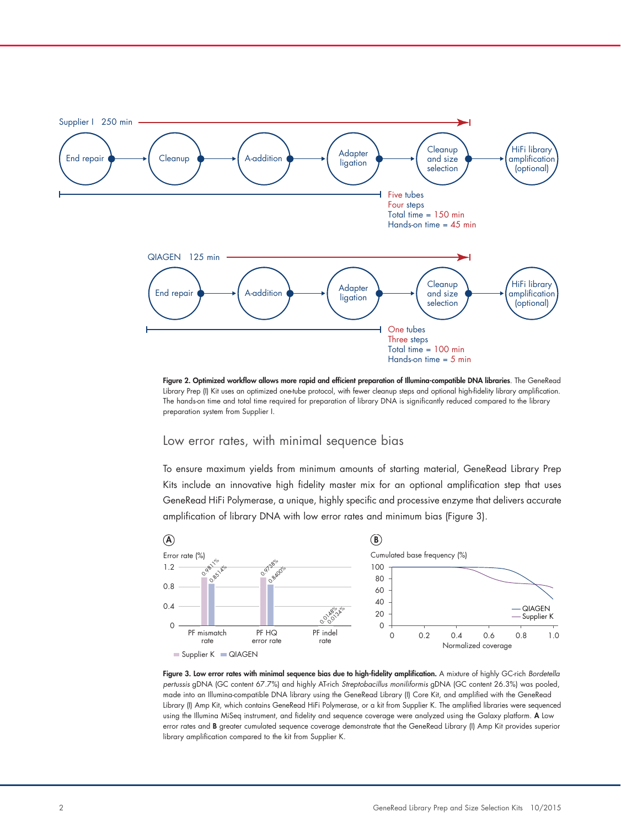

Figure 2. Optimized workflow allows more rapid and efficient preparation of Illumina-compatible DNA libraries. The GeneRead Library Prep (I) Kit uses an optimized one-tube protocol, with fewer cleanup steps and optional high-fidelity library amplification. The hands-on time and total time required for preparation of library DNA is significantly reduced compared to the library Apreparation system from Supplier I.

## Low error rates, with minimal sequence bias

Normalized coverage

To ensure maximum yields from minimum amounts of starting material, GeneRead Library Prep 0.4 to ensure maximum yields from minimum amounts or starting material, Genereda Library Frep<br>Kits include an innovative high fidelity master mix for an optional amplification step that uses GeneRead HiFi Polymerase, a unique, highly specific and processive enzyme that delivers accurate amplification of library DNA with low error rates and minimum bias (Figure 3).



Figure 3. Low error rates with minimal sequence bias due to high-fidelity amplification. A mixture of highly GC-rich *Bordetella*  B *pertussis* gDNA (GC content 67.7%) and highly AT-rich *Streptobacillus moniliformis* gDNA (GC content 26.3%) was pooled, made into an Illumina-compatible DNA library using the GeneRead Library (I) Core Kit, and amplified with the GeneRead Library (I) Amp Kit, which contains GeneRead HiFi Polymerase, or a kit from Supplier K. The amplified libraries were sequenced using the Illumina MiSeq instrument, and fidelity and sequence coverage were analyzed using the Galaxy platform. A Low 80 error rates and **B** greater cumulated sequence coverage demonstrate that the GeneRead Library (I) Amp Kit provides superior library amplification compared to the kit from Supplier K. 40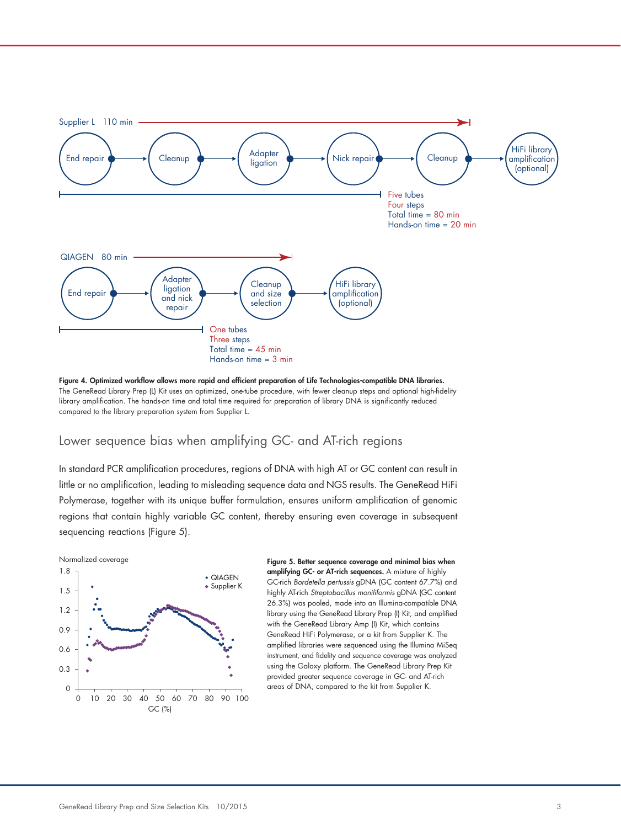

Figure 4. Optimized workflow allows more rapid and efficient preparation of Life Technologies-compatible DNA libraries. The GeneRead Library Prep (L) Kit uses an optimized, one-tube procedure, with fewer cleanup steps and optional high-fidelity library amplification. The hands-on time and total time required for preparation of library DNA is significantly reduced compared to the library preparation system from Supplier L.

## Lower sequence bias when amplifying GC- and AT-rich regions

In standard PCR amplification procedures, regions of DNA with high AT or GC content can result in little or no amplification, leading to misleading sequence data and NGS results. The GeneRead HiFi Polymerase, together with its unique buffer formulation, ensures uniform amplification of genomic regions that contain highly variable GC content, thereby ensuring even coverage in subsequent sequencing reactions (Figure 5).



Figure 5. Better sequence coverage and minimal bias when amplifying GC- or AT-rich sequences. A mixture of highly GC-rich *Bordetella pertussis* gDNA (GC content 67.7%) and highly AT-rich *Streptobacillus moniliformis* gDNA (GC content 26.3%) was pooled, made into an Illumina-compatible DNA library using the GeneRead Library Prep (I) Kit, and amplified with the GeneRead Library Amp (I) Kit, which contains GeneRead HiFi Polymerase, or a kit from Supplier K. The amplified libraries were sequenced using the Illumina MiSeq instrument, and fidelity and sequence coverage was analyzed using the Galaxy platform. The GeneRead Library Prep Kit provided greater sequence coverage in GC- and AT-rich areas of DNA, compared to the kit from Supplier K.